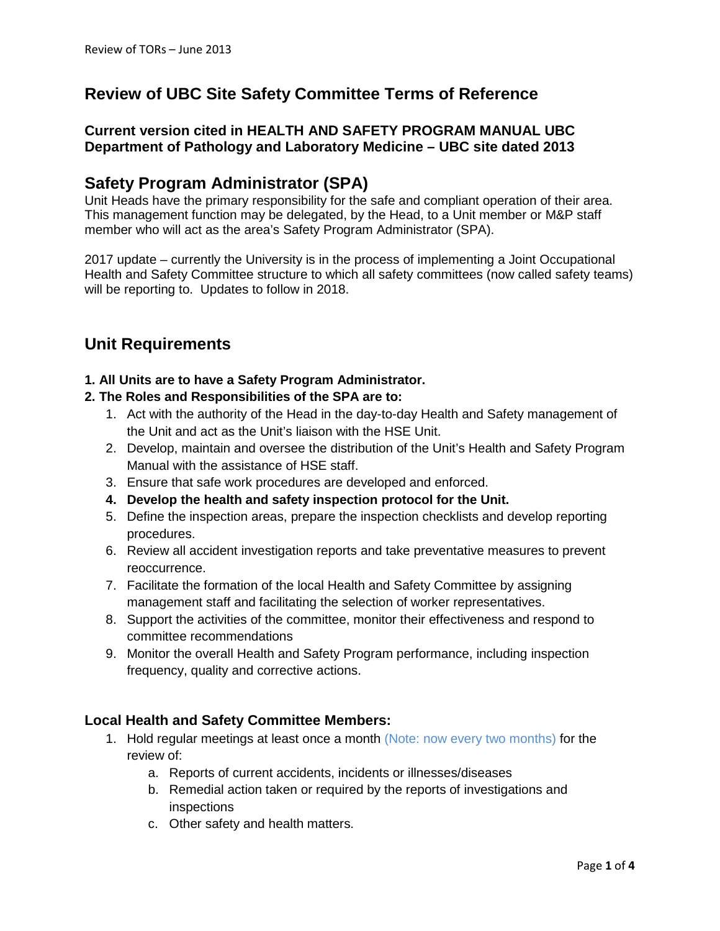# **Review of UBC Site Safety Committee Terms of Reference**

## **Current version cited in HEALTH AND SAFETY PROGRAM MANUAL UBC Department of Pathology and Laboratory Medicine – UBC site dated 2013**

# **Safety Program Administrator (SPA)**

Unit Heads have the primary responsibility for the safe and compliant operation of their area. This management function may be delegated, by the Head, to a Unit member or M&P staff member who will act as the area's Safety Program Administrator (SPA).

2017 update – currently the University is in the process of implementing a Joint Occupational Health and Safety Committee structure to which all safety committees (now called safety teams) will be reporting to. Updates to follow in 2018.

# **Unit Requirements**

#### **1. All Units are to have a Safety Program Administrator.**

#### **2. The Roles and Responsibilities of the SPA are to:**

- 1. Act with the authority of the Head in the day-to-day Health and Safety management of the Unit and act as the Unit's liaison with the HSE Unit.
- 2. Develop, maintain and oversee the distribution of the Unit's Health and Safety Program Manual with the assistance of HSE staff.
- 3. Ensure that safe work procedures are developed and enforced.
- **4. Develop the health and safety inspection protocol for the Unit.**
- 5. Define the inspection areas, prepare the inspection checklists and develop reporting procedures.
- 6. Review all accident investigation reports and take preventative measures to prevent reoccurrence.
- 7. Facilitate the formation of the local Health and Safety Committee by assigning management staff and facilitating the selection of worker representatives.
- 8. Support the activities of the committee, monitor their effectiveness and respond to committee recommendations
- 9. Monitor the overall Health and Safety Program performance, including inspection frequency, quality and corrective actions.

## **Local Health and Safety Committee Members:**

- 1. Hold regular meetings at least once a month (Note: now every two months) for the review of:
	- a. Reports of current accidents, incidents or illnesses/diseases
	- b. Remedial action taken or required by the reports of investigations and inspections
	- c. Other safety and health matters.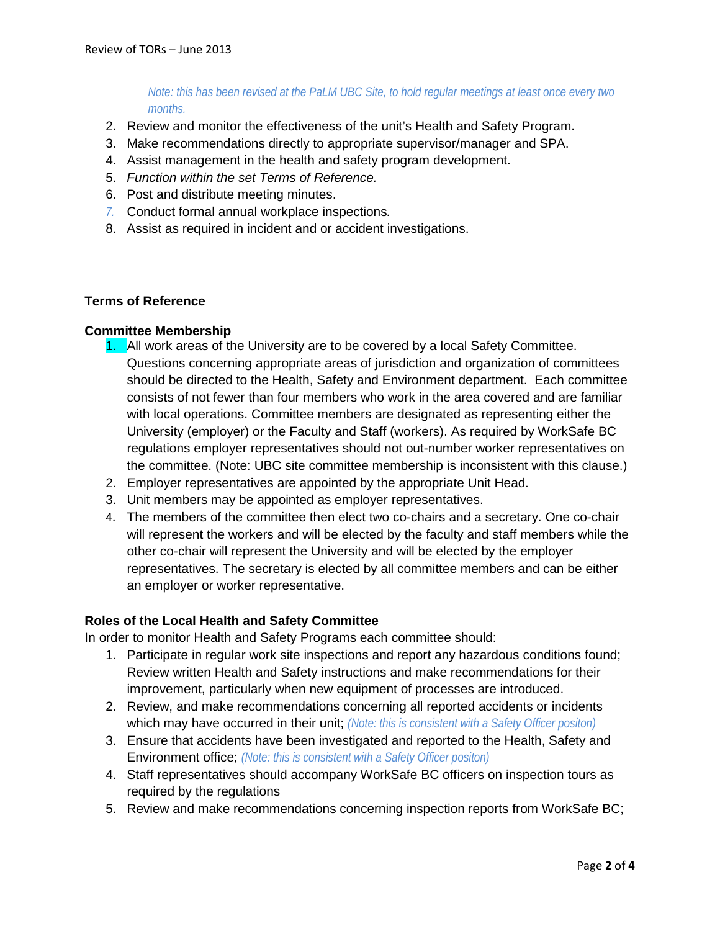*Note: this has been revised at the PaLM UBC Site, to hold regular meetings at least once every two months.*

- 2. Review and monitor the effectiveness of the unit's Health and Safety Program.
- 3. Make recommendations directly to appropriate supervisor/manager and SPA.
- 4. Assist management in the health and safety program development.
- 5. *Function within the set Terms of Reference.*
- 6. Post and distribute meeting minutes.
- *7.* Conduct formal annual workplace inspections*.*
- 8. Assist as required in incident and or accident investigations.

#### **Terms of Reference**

#### **Committee Membership**

- 1. All work areas of the University are to be covered by a local Safety Committee. Questions concerning appropriate areas of jurisdiction and organization of committees should be directed to the Health, Safety and Environment department. Each committee consists of not fewer than four members who work in the area covered and are familiar with local operations. Committee members are designated as representing either the University (employer) or the Faculty and Staff (workers). As required by WorkSafe BC regulations employer representatives should not out-number worker representatives on the committee. (Note: UBC site committee membership is inconsistent with this clause.)
- 2. Employer representatives are appointed by the appropriate Unit Head.
- 3. Unit members may be appointed as employer representatives.
- 4. The members of the committee then elect two co-chairs and a secretary. One co-chair will represent the workers and will be elected by the faculty and staff members while the other co-chair will represent the University and will be elected by the employer representatives. The secretary is elected by all committee members and can be either an employer or worker representative.

#### **Roles of the Local Health and Safety Committee**

In order to monitor Health and Safety Programs each committee should:

- 1. Participate in regular work site inspections and report any hazardous conditions found; Review written Health and Safety instructions and make recommendations for their improvement, particularly when new equipment of processes are introduced.
- 2. Review, and make recommendations concerning all reported accidents or incidents which may have occurred in their unit; *(Note: this is consistent with a Safety Officer positon)*
- 3. Ensure that accidents have been investigated and reported to the Health, Safety and Environment office; *(Note: this is consistent with a Safety Officer positon)*
- 4. Staff representatives should accompany WorkSafe BC officers on inspection tours as required by the regulations
- 5. Review and make recommendations concerning inspection reports from WorkSafe BC;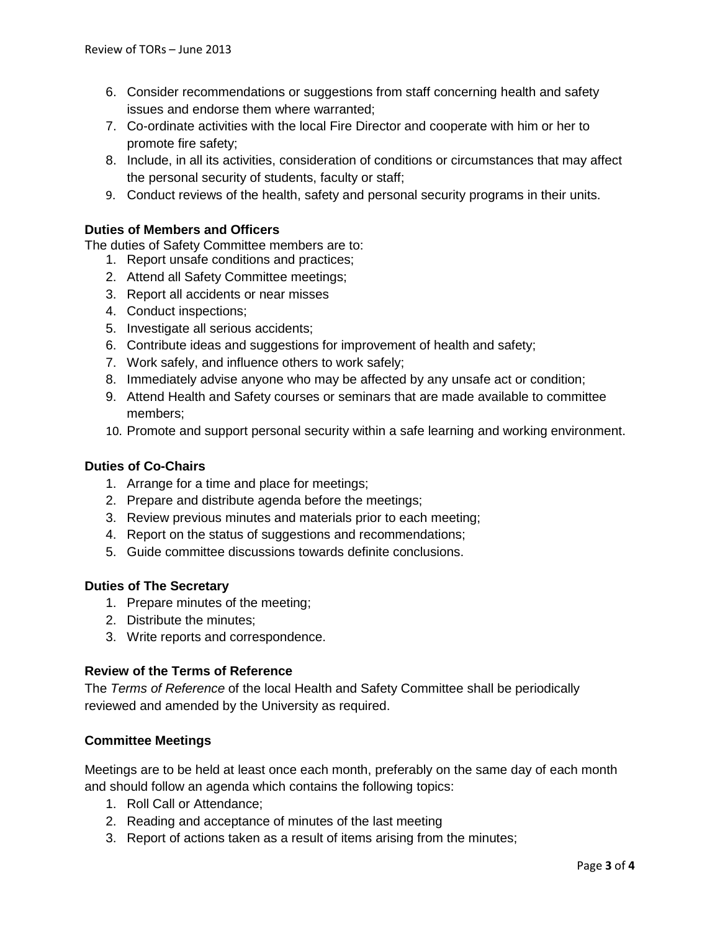- 6. Consider recommendations or suggestions from staff concerning health and safety issues and endorse them where warranted;
- 7. Co-ordinate activities with the local Fire Director and cooperate with him or her to promote fire safety;
- 8. Include, in all its activities, consideration of conditions or circumstances that may affect the personal security of students, faculty or staff;
- 9. Conduct reviews of the health, safety and personal security programs in their units.

## **Duties of Members and Officers**

The duties of Safety Committee members are to:

- 1. Report unsafe conditions and practices;
- 2. Attend all Safety Committee meetings;
- 3. Report all accidents or near misses
- 4. Conduct inspections;
- 5. Investigate all serious accidents;
- 6. Contribute ideas and suggestions for improvement of health and safety;
- 7. Work safely, and influence others to work safely;
- 8. Immediately advise anyone who may be affected by any unsafe act or condition;
- 9. Attend Health and Safety courses or seminars that are made available to committee members;
- 10. Promote and support personal security within a safe learning and working environment.

## **Duties of Co-Chairs**

- 1. Arrange for a time and place for meetings;
- 2. Prepare and distribute agenda before the meetings;
- 3. Review previous minutes and materials prior to each meeting;
- 4. Report on the status of suggestions and recommendations;
- 5. Guide committee discussions towards definite conclusions.

## **Duties of The Secretary**

- 1. Prepare minutes of the meeting;
- 2. Distribute the minutes;
- 3. Write reports and correspondence.

## **Review of the Terms of Reference**

The *Terms of Reference* of the local Health and Safety Committee shall be periodically reviewed and amended by the University as required.

## **Committee Meetings**

Meetings are to be held at least once each month, preferably on the same day of each month and should follow an agenda which contains the following topics:

- 1. Roll Call or Attendance;
- 2. Reading and acceptance of minutes of the last meeting
- 3. Report of actions taken as a result of items arising from the minutes;